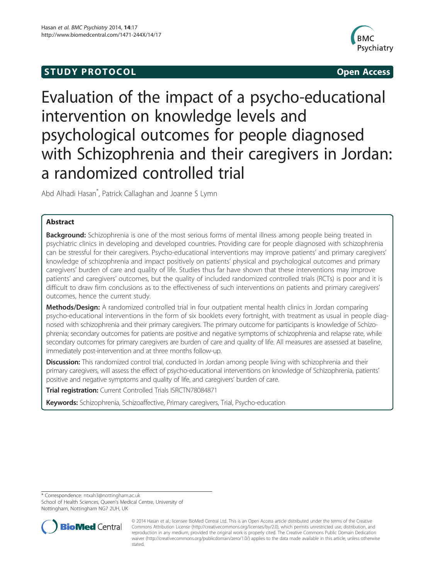# **STUDY PROTOCOL** And the second of the second of the second open Access



# Evaluation of the impact of a psycho-educational intervention on knowledge levels and psychological outcomes for people diagnosed with Schizophrenia and their caregivers in Jordan: a randomized controlled trial

Abd Alhadi Hasan\* , Patrick Callaghan and Joanne S Lymn

# Abstract

**Background:** Schizophrenia is one of the most serious forms of mental illness among people being treated in psychiatric clinics in developing and developed countries. Providing care for people diagnosed with schizophrenia can be stressful for their caregivers. Psycho-educational interventions may improve patients' and primary caregivers' knowledge of schizophrenia and impact positively on patients' physical and psychological outcomes and primary caregivers' burden of care and quality of life. Studies thus far have shown that these interventions may improve patients' and caregivers' outcomes, but the quality of included randomized controlled trials (RCTs) is poor and it is difficult to draw firm conclusions as to the effectiveness of such interventions on patients and primary caregivers' outcomes, hence the current study.

Methods/Design: A randomized controlled trial in four outpatient mental health clinics in Jordan comparing psycho-educational interventions in the form of six booklets every fortnight, with treatment as usual in people diagnosed with schizophrenia and their primary caregivers. The primary outcome for participants is knowledge of Schizophrenia; secondary outcomes for patients are positive and negative symptoms of schizophrenia and relapse rate, while secondary outcomes for primary caregivers are burden of care and quality of life. All measures are assessed at baseline, immediately post-intervention and at three months follow-up.

Discussion: This randomized control trial, conducted in Jordan among people living with schizophrenia and their primary caregivers, will assess the effect of psycho-educational interventions on knowledge of Schizophrenia, patients' positive and negative symptoms and quality of life, and caregivers' burden of care.

Trial registration: Current Controlled Trials [ISRCTN78084871](http://www.controlled-trials.com/ISRCTN78084871)

Keywords: Schizophrenia, Schizoaffective, Primary caregivers, Trial, Psycho-education

\* Correspondence: [ntxah3@nottingham.ac.uk](mailto:ntxah3@nottingham.ac.uk)

School of Health Sciences, Queen's Medical Centre, University of Nottingham, Nottingham NG7 2UH, UK



<sup>© 2014</sup> Hasan et al.; licensee BioMed Central Ltd. This is an Open Access article distributed under the terms of the Creative Commons Attribution License [\(http://creativecommons.org/licenses/by/2.0\)](http://creativecommons.org/licenses/by/2.0), which permits unrestricted use, distribution, and reproduction in any medium, provided the original work is properly cited. The Creative Commons Public Domain Dedication waiver [\(http://creativecommons.org/publicdomain/zero/1.0/\)](http://creativecommons.org/publicdomain/zero/1.0/) applies to the data made available in this article, unless otherwise stated.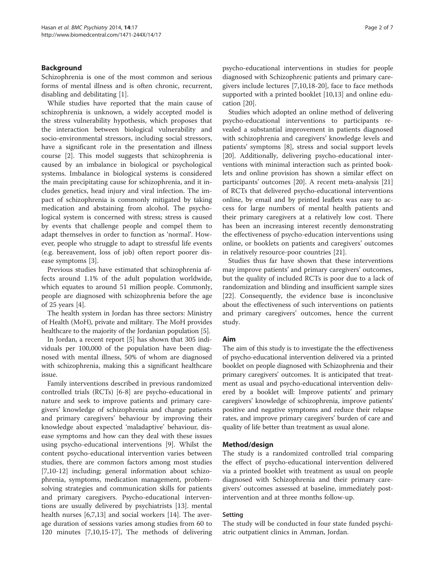# **Background**

Schizophrenia is one of the most common and serious forms of mental illness and is often chronic, recurrent, disabling and debilitating [[1\]](#page-5-0).

While studies have reported that the main cause of schizophrenia is unknown, a widely accepted model is the stress vulnerability hypothesis, which proposes that the interaction between biological vulnerability and socio-environmental stressors, including social stressors, have a significant role in the presentation and illness course [[2\]](#page-5-0). This model suggests that schizophrenia is caused by an imbalance in biological or psychological systems. Imbalance in biological systems is considered the main precipitating cause for schizophrenia, and it includes genetics, head injury and viral infection. The impact of schizophrenia is commonly mitigated by taking medication and abstaining from alcohol. The psychological system is concerned with stress; stress is caused by events that challenge people and compel them to adapt themselves in order to function as 'normal'. However, people who struggle to adapt to stressful life events (e.g. bereavement, loss of job) often report poorer disease symptoms [[3\]](#page-5-0).

Previous studies have estimated that schizophrenia affects around 1.1% of the adult population worldwide, which equates to around 51 million people. Commonly, people are diagnosed with schizophrenia before the age of 25 years [\[4](#page-5-0)].

The health system in Jordan has three sectors: Ministry of Health (MoH), private and military. The MoH provides healthcare to the majority of the Jordanian population [\[5\]](#page-5-0).

In Jordan, a recent report [[5](#page-5-0)] has shown that 305 individuals per 100,000 of the population have been diagnosed with mental illness, 50% of whom are diagnosed with schizophrenia, making this a significant healthcare issue.

Family interventions described in previous randomized controlled trials (RCTs) [[6-8\]](#page-5-0) are psycho-educational in nature and seek to improve patients and primary caregivers' knowledge of schizophrenia and change patients and primary caregivers' behaviour by improving their knowledge about expected 'maladaptive' behaviour, disease symptoms and how can they deal with these issues using psycho-educational interventions [[9\]](#page-5-0). Whilst the content psycho-educational intervention varies between studies, there are common factors among most studies [[7,10-12](#page-5-0)] including; general information about schizophrenia, symptoms, medication management, problemsolving strategies and communication skills for patients and primary caregivers. Psycho-educational interventions are usually delivered by psychiatrists [\[13\]](#page-5-0). mental health nurses [\[6,7,13](#page-5-0)] and social workers [\[14](#page-5-0)]. The average duration of sessions varies among studies from 60 to 120 minutes [[7,10,15-17\]](#page-5-0), The methods of delivering

psycho-educational interventions in studies for people diagnosed with Schizophrenic patients and primary caregivers include lectures [[7,10,18-20\]](#page-5-0), face to face methods supported with a printed booklet [[10,13\]](#page-5-0) and online education [[20\]](#page-5-0).

Studies which adopted an online method of delivering psycho-educational interventions to participants revealed a substantial improvement in patients diagnosed with schizophrenia and caregivers' knowledge levels and patients' symptoms [\[8\]](#page-5-0), stress and social support levels [[20\]](#page-5-0). Additionally, delivering psycho-educational interventions with minimal interaction such as printed booklets and online provision has shown a similar effect on participants' outcomes [[20\]](#page-5-0). A recent meta-analysis [[21](#page-5-0)] of RCTs that delivered psycho-educational interventions online, by email and by printed leaflets was easy to access for large numbers of mental health patients and their primary caregivers at a relatively low cost. There has been an increasing interest recently demonstrating the effectiveness of psycho-education interventions using online, or booklets on patients and caregivers' outcomes in relatively resource-poor countries [[21](#page-5-0)].

Studies thus far have shown that these interventions may improve patients' and primary caregivers' outcomes, but the quality of included RCTs is poor due to a lack of randomization and blinding and insufficient sample sizes [[22\]](#page-5-0). Consequently, the evidence base is inconclusive about the effectiveness of such interventions on patients and primary caregivers' outcomes, hence the current study.

# Aim

The aim of this study is to investigate the the effectiveness of psycho-educational intervention delivered via a printed booklet on people diagnosed with Schizophrenia and their primary caregivers' outcomes. It is anticipated that treatment as usual and psycho-educational intervention delivered by a booklet will: Improve patients' and primary caregivers' knowledge of schizophrenia, improve patients' positive and negative symptoms and reduce their relapse rates, and improve primary caregivers' burden of care and quality of life better than treatment as usual alone.

# Method/design

The study is a randomized controlled trial comparing the effect of psycho-educational intervention delivered via a printed booklet with treatment as usual on people diagnosed with Schizophrenia and their primary caregivers' outcomes assessed at baseline, immediately postintervention and at three months follow-up.

#### Setting

The study will be conducted in four state funded psychiatric outpatient clinics in Amman, Jordan.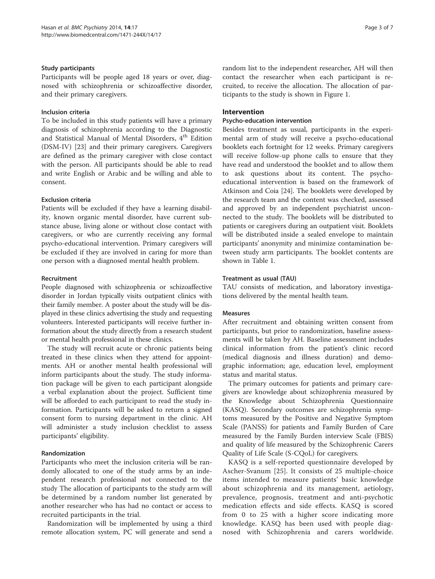#### Study participants

Participants will be people aged 18 years or over, diagnosed with schizophrenia or schizoaffective disorder, and their primary caregivers.

#### Inclusion criteria

To be included in this study patients will have a primary diagnosis of schizophrenia according to the Diagnostic and Statistical Manual of Mental Disorders, 4<sup>th</sup> Edition (DSM-IV) [\[23](#page-5-0)] and their primary caregivers. Caregivers are defined as the primary caregiver with close contact with the person. All participants should be able to read and write English or Arabic and be willing and able to consent.

# Exclusion criteria

Patients will be excluded if they have a learning disability, known organic mental disorder, have current substance abuse, living alone or without close contact with caregivers, or who are currently receiving any formal psycho-educational intervention. Primary caregivers will be excluded if they are involved in caring for more than one person with a diagnosed mental health problem.

# Recruitment

People diagnosed with schizophrenia or schizoaffective disorder in Jordan typically visits outpatient clinics with their family member. A poster about the study will be displayed in these clinics advertising the study and requesting volunteers. Interested participants will receive further information about the study directly from a research student or mental health professional in these clinics.

The study will recruit acute or chronic patients being treated in these clinics when they attend for appointments. AH or another mental health professional will inform participants about the study. The study information package will be given to each participant alongside a verbal explanation about the project. Sufficient time will be afforded to each participant to read the study information. Participants will be asked to return a signed consent form to nursing department in the clinic. AH will administer a study inclusion checklist to assess participants' eligibility.

# Randomization

Participants who meet the inclusion criteria will be randomly allocated to one of the study arms by an independent research professional not connected to the study The allocation of participants to the study arm will be determined by a random number list generated by another researcher who has had no contact or access to recruited participants in the trial.

Randomization will be implemented by using a third remote allocation system, PC will generate and send a random list to the independent researcher, AH will then contact the researcher when each participant is recruited, to receive the allocation. The allocation of participants to the study is shown in Figure [1.](#page-3-0)

# Intervention

# Psycho-education intervention

Besides treatment as usual, participants in the experimental arm of study will receive a psycho-educational booklets each fortnight for 12 weeks. Primary caregivers will receive follow-up phone calls to ensure that they have read and understood the booklet and to allow them to ask questions about its content. The psychoeducational intervention is based on the framework of Atkinson and Coia [[24\]](#page-5-0). The booklets were developed by the research team and the content was checked, assessed and approved by an independent psychiatrist unconnected to the study. The booklets will be distributed to patients or caregivers during an outpatient visit. Booklets will be distributed inside a sealed envelope to maintain participants' anonymity and minimize contamination between study arm participants. The booklet contents are shown in Table [1.](#page-4-0)

# Treatment as usual (TAU)

TAU consists of medication, and laboratory investigations delivered by the mental health team.

# Measures

After recruitment and obtaining written consent from participants, but prior to randomization, baseline assessments will be taken by AH. Baseline assessment includes clinical information from the patient's clinic record (medical diagnosis and illness duration) and demographic information; age, education level, employment status and marital status.

The primary outcomes for patients and primary caregivers are knowledge about schizophrenia measured by the Knowledge about Schizophrenia Questionnaire (KASQ). Secondary outcomes are schizophrenia symptoms measured by the Positive and Negative Symptom Scale (PANSS) for patients and Family Burden of Care measured by the Family Burden interview Scale (FBIS) and quality of life measured by the Schizophrenic Carers Quality of Life Scale (S-CQoL) for caregivers.

KASQ is a self-reported questionnaire developed by Ascher-Svanum [\[25\]](#page-5-0). It consists of 25 multiple-choice items intended to measure patients' basic knowledge about schizophrenia and its management, aetiology, prevalence, prognosis, treatment and anti-psychotic medication effects and side effects. KASQ is scored from 0 to 25 with a higher score indicating more knowledge. KASQ has been used with people diagnosed with Schizophrenia and carers worldwide.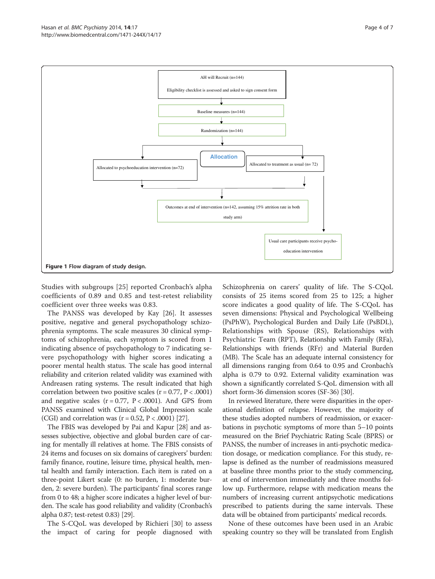<span id="page-3-0"></span>

Studies with subgroups [\[25](#page-5-0)] reported Cronbach's alpha coefficients of 0.89 and 0.85 and test-retest reliability coefficient over three weeks was 0.83.

The PANSS was developed by Kay [\[26](#page-5-0)]. It assesses positive, negative and general psychopathology schizophrenia symptoms. The scale measures 30 clinical symptoms of schizophrenia, each symptom is scored from 1 indicating absence of psychopathology to 7 indicating severe psychopathology with higher scores indicating a poorer mental health status. The scale has good internal reliability and criterion related validity was examined with Andreasen rating systems. The result indicated that high correlation between two positive scales ( $r = 0.77$ ,  $P < .0001$ ) and negative scales  $(r = 0.77, P < .0001)$ . And GPS from PANSS examined with Clinical Global Impression scale (CGI) and correlation was  $(r = 0.52, P < .0001)$  [\[27](#page-5-0)].

The FBIS was developed by Pai and Kapur [[28](#page-5-0)] and assesses subjective, objective and global burden care of caring for mentally ill relatives at home. The FBIS consists of 24 items and focuses on six domains of caregivers' burden: family finance, routine, leisure time, physical health, mental health and family interaction. Each item is rated on a three-point Likert scale (0: no burden, 1: moderate burden, 2: severe burden). The participants' final scores range from 0 to 48; a higher score indicates a higher level of burden. The scale has good reliability and validity (Cronbach's alpha 0.87; test-retest 0.83) [\[29](#page-6-0)].

The S-CQoL was developed by Richieri [[30\]](#page-6-0) to assess the impact of caring for people diagnosed with

Schizophrenia on carers' quality of life. The S-CQoL consists of 25 items scored from 25 to 125; a higher score indicates a good quality of life. The S-CQoL has seven dimensions: Physical and Psychological Wellbeing (PsPhW), Psychological Burden and Daily Life (PsBDL), Relationships with Spouse (RS), Relationships with Psychiatric Team (RPT), Relationship with Family (RFa), Relationships with friends (RFr) and Material Burden (MB). The Scale has an adequate internal consistency for all dimensions ranging from 0.64 to 0.95 and Cronbach's alpha is 0.79 to 0.92. External validity examination was shown a significantly correlated S-QoL dimension with all short form-36 dimension scores (SF-36) [\[30\]](#page-6-0).

In reviewed literature, there were disparities in the operational definition of relapse. However, the majority of these studies adopted numbers of readmission, or exacerbations in psychotic symptoms of more than 5–10 points measured on the Brief Psychiatric Rating Scale (BPRS) or PANSS, the number of increases in anti-psychotic medication dosage, or medication compliance. For this study, relapse is defined as the number of readmissions measured at baseline three months prior to the study commencing, at end of intervention immediately and three months follow up. Furthermore, relapse with medication means the numbers of increasing current antipsychotic medications prescribed to patients during the same intervals. These data will be obtained from participants' medical records.

None of these outcomes have been used in an Arabic speaking country so they will be translated from English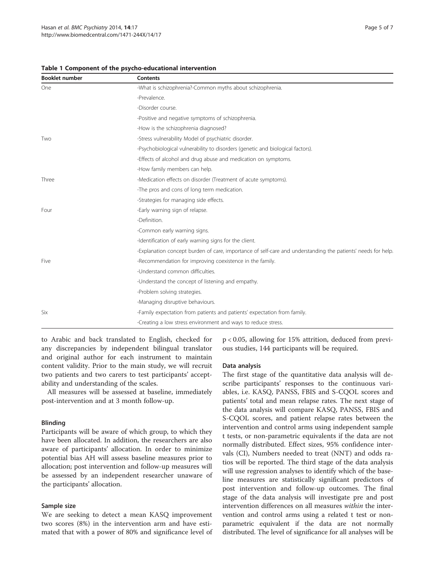#### <span id="page-4-0"></span>Table 1 Component of the psycho-educational intervention

| <b>Booklet number</b> | <b>Contents</b>                                                                                              |
|-----------------------|--------------------------------------------------------------------------------------------------------------|
| One                   | -What is schizophrenia?-Common myths about schizophrenia.                                                    |
|                       | -Prevalence.                                                                                                 |
|                       | -Disorder course.                                                                                            |
|                       | -Positive and negative symptoms of schizophrenia.                                                            |
|                       | -How is the schizophrenia diagnosed?                                                                         |
| Two                   | -Stress vulnerability Model of psychiatric disorder.                                                         |
|                       | -Psychobiological vulnerability to disorders (genetic and biological factors).                               |
|                       | -Effects of alcohol and drug abuse and medication on symptoms.                                               |
|                       | -How family members can help.                                                                                |
| Three                 | -Medication effects on disorder (Treatment of acute symptoms).                                               |
|                       | -The pros and cons of long term medication.                                                                  |
|                       | -Strategies for managing side effects.                                                                       |
| Four                  | -Early warning sign of relapse.                                                                              |
|                       | -Definition.                                                                                                 |
|                       | -Common early warning signs.                                                                                 |
|                       | -Identification of early warning signs for the client.                                                       |
|                       | -Explanation concept burden of care, importance of self-care and understanding the patients' needs for help. |
| Five                  | -Recommendation for improving coexistence in the family.                                                     |
|                       | -Understand common difficulties.                                                                             |
|                       | -Understand the concept of listening and empathy.                                                            |
|                       | -Problem solving strategies.                                                                                 |
|                       | -Managing disruptive behaviours.                                                                             |
| Six                   | -Family expectation from patients and patients' expectation from family.                                     |
|                       | -Creating a low stress environment and ways to reduce stress.                                                |

to Arabic and back translated to English, checked for any discrepancies by independent bilingual translator and original author for each instrument to maintain content validity. Prior to the main study, we will recruit two patients and two carers to test participants' acceptability and understanding of the scales.

All measures will be assessed at baseline, immediately post-intervention and at 3 month follow-up.

#### Blinding

Participants will be aware of which group, to which they have been allocated. In addition, the researchers are also aware of participants' allocation. In order to minimize potential bias AH will assess baseline measures prior to allocation; post intervention and follow-up measures will be assessed by an independent researcher unaware of the participants' allocation.

#### Sample size

We are seeking to detect a mean KASQ improvement two scores (8%) in the intervention arm and have estimated that with a power of 80% and significance level of

p < 0.05, allowing for 15% attrition, deduced from previous studies, 144 participants will be required.

#### Data analysis

The first stage of the quantitative data analysis will describe participants' responses to the continuous variables, i.e. KASQ, PANSS, FBIS and S-CQOL scores and patients' total and mean relapse rates. The next stage of the data analysis will compare KASQ, PANSS, FBIS and S-CQOL scores, and patient relapse rates between the intervention and control arms using independent sample t tests, or non-parametric equivalents if the data are not normally distributed. Effect sizes, 95% confidence intervals (CI), Numbers needed to treat (NNT) and odds ratios will be reported. The third stage of the data analysis will use regression analyses to identify which of the baseline measures are statistically significant predictors of post intervention and follow-up outcomes. The final stage of the data analysis will investigate pre and post intervention differences on all measures within the intervention and control arms using a related t test or nonparametric equivalent if the data are not normally distributed. The level of significance for all analyses will be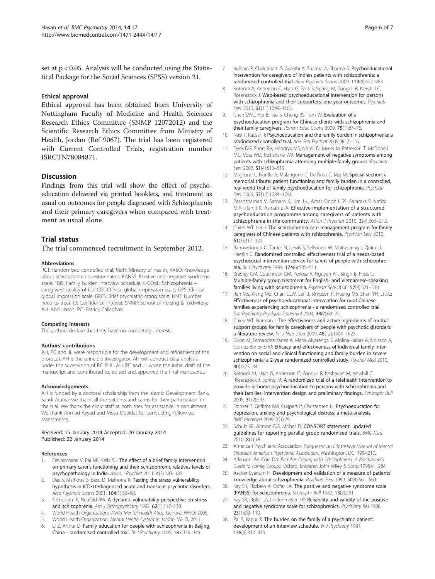<span id="page-5-0"></span>set at p < 0.05. Analysis will be conducted using the Statistical Package for the Social Sciences (SPSS) version 21.

#### Ethical approval

Ethical approval has been obtained from University of Nottingham Faculty of Medicine and Health Sciences Research Ethics Committee (SNMP 12072012) and the Scientific Research Ethics Committee from Ministry of Health, Jordan (Ref 9067). The trial has been registered with Current Controlled Trials, registration number ISRCTN78084871.

# **Discussion**

Findings from this trial will show the effect of psychoeducation delivered via printed booklets, and treatment as usual on outcomes for people diagnosed with Schizophrenia and their primary caregivers when compared with treatment as usual alone.

# Trial status

The trial commenced recruitment in September 2012.

#### Abbreviations

RCT: Randomized controlled trial; MoH: Ministry of health; KASQ: Knowledge about schizophrenia questionnaires; PANSS: Positive and negative syndrome scale; FBIS: Family burden interview schedule; S-CQoL: Schizophrenia – caregivers' quality of life; CGI: Clinical global impression scale; GPS: Clinical global impression scale; BRPS: Brief psychiatric rating scale; NNT: Number need to treat; CI: Confidence interval; SNMP: School of nursing & midwifery; AH: Abd Hasan; PC: Patrick Callaghan.

#### Competing interests

The authors declare that they have no competing interests.

#### Authors' contributions

AH, PC and JL were responsible for the development and refinement of the protocol. AH is the principle investigator. AH will conduct data analysis under the supervision of PC & JL. AH, PC and JL wrote the initial draft of the manuscript and contributed to, edited and approved the final manuscript.

#### Acknowledgements

AH is funded by a doctoral scholarship from the Islamic Development Bank, Saudi Arabia; we thank all the patients and carers for their participation in the trial. We thank the clinic staff at both sites for assistance in recruitment. We thank Ahmad Ayyad and Mosa Obeidat for conducting follow-up assessments.

#### Received: 15 January 2014 Accepted: 20 January 2014 Published: 22 January 2014

#### References

- Devaramane V, Pai NB, Vella SL: The effect of a brief family intervention on primary carer's functioning and their schizophrenic relatives levels of psychopathology in India. Asian J Psychiat 2011, 4(3):183–187.
- 2. Das S, Malhotra S, Basu D, Malhotra R: Testing the stress-vulnerability hypothesis in ICD-10-diagnosed acute and transient psychotic disorders. Acta Psychiatr Scand 2001, 104(1):56–58.
- 3. Nicholson IR, Neufeld RW: A dynamic vulnerability perspective on stress and schizophrenia. Am J Orthopsychiatry 1992, 62(1):117–130.
- 4. World Health Organization: World Mental Health Atlas. Geneva: WHO; 2005.
- 5. World Health Organization: Mental Health System in Jordan. WHO; 2011.
- 6. Li Z, Arthur D: Family education for people with schizophrenia in Beijing, China - randomised controlled trial. Br J Psychiatry 2005, 187:339–345.
- 7. Kulhara P, Chakrabarti S, Avasthi A, Sharma A, Sharma S: Psychoeducational intervention for caregivers of Indian patients with schizophrenia: a randomised-controlled trial. Acta Psychiatr Scand 2009, 119(6):472–483.
- Rotondi A, Anderson C, Haas G, Eack S, Spring M, Ganguli R, Newhill C, Rosenstock J: Web-based psychoeducational intervention for persons with schizophrenia and their supporters: one-year outcomes. Psychiatr Serv 2010, 61(11):1099-1105.
- 9. Chan SWC, Yip B, Tso S, Cheng BS, Tam W: Evaluation of a psychoeducation program for Chinese clients with schizophrenia and their family caregivers. Patient Educ Couns 2009, 75(1):67-76.
- 10. Nasr T, Kausar R: Psychoeducation and the family burden in schizophrenia: a randomized controlled trial. Ann Gen Psychiat 2009, 8(17):1–6.
- 11. Dyck DG, Short RA, Hendryx MS, Norell D, Myers M, Patterson T, McDonell MG, Voss WD, McFarlane WR: Management of negative symptoms among patients with schizophrenia attending multiple-family groups. Psychiatr Serv 2000, 51(4):513-519.
- 12. Magliano L, Fiorillo A, Malangone C, De Rosa C, Maj M: Special section: a memorial tribute: patient functioning and family burden in a controlled, real-world trial of family psychoeducation for schizophrenia. Psychiatr Serv 2006, 57(12):1784–1791.
- 13. Paranthaman V, Satnam K, Lim J-L, Amar-Singh HSS, Sararaks S, Nafiza M-N, Ranjit K, Asmah Z-A: Effective implementation of a structured psychoeducation programme among caregivers of patients with schizophrenia in the community. Asian J Psychiat 2010, 3(4):206-212.
- 14. Chien WT, Lee I: The schizophrenia care management program for family caregivers of Chinese patients with schizophrenia. Psychiatr Serv 2010, 61(3):317–320.
- 15. Barrowclough C, Tarrier N, Lewis S, Sellwood W, Mainwaring J, Quinn J, Hamlin C: Randomised controlled effectiveness trial of a needs-based psychosocial intervention service for carers of people with schizophrenia. Br J Psychiatry 1999, 174(6):505–511.
- 16. Bradley GM, Couchman GM, Perlesz A, Nguyen AT, Singh B, Riess C: Multiple-family group treatment for English- and Vietnamese-speaking families living with schizophrenia. Psychiatr Serv 2006, 57(4):521-530.
- 17. Ran MS, Xiang MZ, Chan CLW, Leff J, Simpson P, Huang MS, Shan YH, Li SG: Effectiveness of psychoeducational intervention for rural Chinese families experiencing schizophrenia - a randomised controlled trial. Soc Psychiatry Psychiatr Epidemiol 2003, 38(2):69–75.
- 18. Chien WT, Norman I: The effectiveness and active ingredients of mutual support groups for family caregivers of people with psychotic disorders: a literature review. Int J Nurs Stud 2009, 46(12):1604–1623.
- 19. Giron M, Fernandez-Yanez A, Mana-Alvarenga S, Molina-Habas A, Nolasco A, Gomez-Beneyto M: Efficacy and effectiveness of individual family intervention on social and clinical functioning and family burden in severe schizophrenia: a 2-year randomized controlled study. Psychol Med 2010, 40(1):73–84.
- 20. Rotondi AJ, Haas G, Anderson C, Ganguli R, Keshavan M, Newhill C, Rosenstock J, Spring M: A randomized trial of a telehealth intervention to provide in-home psychoeducation to persons with schizophrenia and their families: intervention design and preliminary findings. Schizophr Bull 2005, 31(2):533.
- 21. Donker T, Griffiths KM, Cuijpers P, Christensen H: Psychoeducation for depression, anxiety and psychological distress: a meta-analysis. BMC medicine 2009, 7(1):79.
- 22. Schulz KF, Altman DG, Moher D: CONSORT statement: updated guidelines for reporting parallel group randomised trials. BMC Med 2010, 8(1):18.
- 23. American Psychiatric Association: Diagnostic and Statistical Manual of Mental Disorders American Psychiatric Association. Washington, DC; 1994:210.
- 24. Atkinson JM, Coia DA: Families Coping with Schizophrenia: A Practitioner's Guide to Family Groups. Oxford, England: John Wiley & Sons; 1995:viii 284.
- 25. Ascher-Svanum H: Development and validation of a measure of patients' knowledge about schizophrenia. Psychiatr Serv 1999, 50(4):561–563.
- 26. Kay SR, Flszbein A, Opfer LA: The positive and negative syndrome scale (PANSS) for schizophrenia. Schizophr Bull 1987, 13(2):261.
- 27. Kay SR, Opler LA, Lindenmayer J-P: Reliability and validity of the positive and negative syndrome scale for schizophrenics. Psychiatry Res 1988, 23(1):99–110.
- 28. Pai S, Kapur R: The burden on the family of a psychiatric patient: development of an interview schedule. Br J Psychiatry 1981, 138(4):332–335.